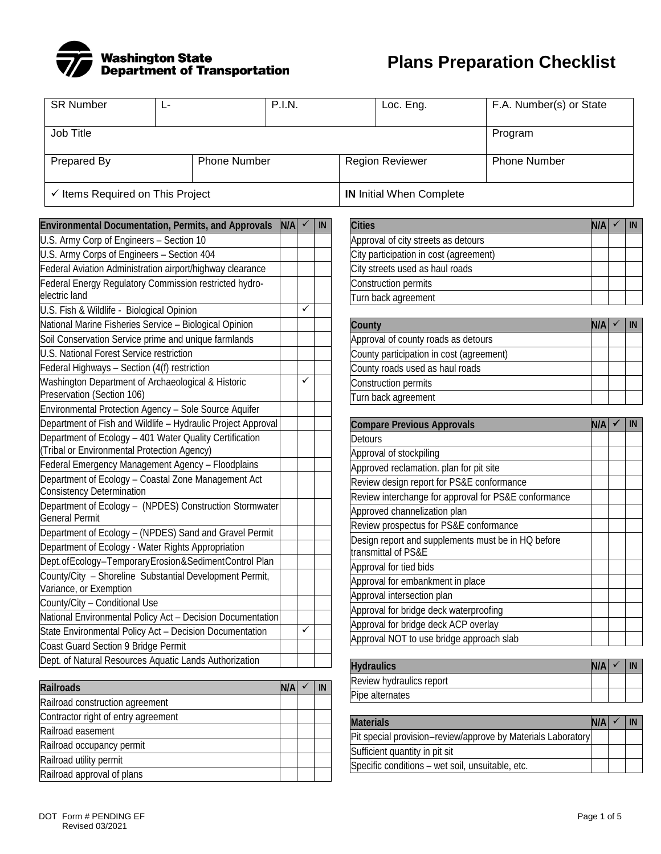

**Plans Preparation Checklist**

| <b>SR Number</b>                                                                                       | Ŀ |                     | <b>P.I.N.</b> |   |    |                   | Loc. Eng.                                                                          | F.A. Number(s) or State                                      |     |            |
|--------------------------------------------------------------------------------------------------------|---|---------------------|---------------|---|----|-------------------|------------------------------------------------------------------------------------|--------------------------------------------------------------|-----|------------|
| Job Title                                                                                              |   |                     |               |   |    |                   |                                                                                    | Program                                                      |     |            |
| Prepared By                                                                                            |   | <b>Phone Number</b> |               |   |    |                   | <b>Region Reviewer</b>                                                             | <b>Phone Number</b>                                          |     |            |
| $\checkmark$ Items Required on This Project                                                            |   |                     |               |   |    |                   | <b>IN</b> Initial When Complete                                                    |                                                              |     |            |
|                                                                                                        |   |                     |               |   |    |                   |                                                                                    |                                                              |     |            |
| Environmental Documentation, Permits, and Approvals<br>U.S. Army Corp of Engineers - Section 10        |   |                     | N/A           |   | IN | <b>Cities</b>     | Approval of city streets as detours                                                |                                                              | N/A | IN         |
| U.S. Army Corps of Engineers - Section 404                                                             |   |                     |               |   |    |                   | City participation in cost (agreement)                                             |                                                              |     |            |
| Federal Aviation Administration airport/highway clearance                                              |   |                     |               |   |    |                   | City streets used as haul roads                                                    |                                                              |     |            |
| Federal Energy Regulatory Commission restricted hydro-                                                 |   |                     |               |   |    |                   | Construction permits                                                               |                                                              |     |            |
| electric land                                                                                          |   |                     |               |   |    |                   | Turn back agreement                                                                |                                                              |     |            |
| U.S. Fish & Wildlife - Biological Opinion                                                              |   |                     |               | ✓ |    |                   |                                                                                    |                                                              |     |            |
| National Marine Fisheries Service - Biological Opinion                                                 |   |                     |               |   |    | County            |                                                                                    |                                                              | N/A | IN         |
| Soil Conservation Service prime and unique farmlands                                                   |   |                     |               |   |    |                   | Approval of county roads as detours                                                |                                                              |     |            |
| U.S. National Forest Service restriction                                                               |   |                     |               |   |    |                   | County participation in cost (agreement)                                           |                                                              |     |            |
| Federal Highways - Section (4(f) restriction                                                           |   |                     |               |   |    |                   | County roads used as haul roads                                                    |                                                              |     |            |
| Washington Department of Archaeological & Historic                                                     |   |                     |               |   |    |                   | Construction permits                                                               |                                                              |     |            |
| Preservation (Section 106)                                                                             |   |                     |               |   |    |                   | Turn back agreement                                                                |                                                              |     |            |
| Environmental Protection Agency - Sole Source Aquifer                                                  |   |                     |               |   |    |                   |                                                                                    |                                                              |     |            |
| Department of Fish and Wildlife - Hydraulic Project Approval                                           |   |                     |               |   |    |                   | <b>Compare Previous Approvals</b>                                                  |                                                              | N/A | IN         |
| Department of Ecology - 401 Water Quality Certification<br>(Tribal or Environmental Protection Agency) |   |                     |               |   |    | <b>Detours</b>    |                                                                                    |                                                              |     |            |
| Federal Emergency Management Agency - Floodplains                                                      |   |                     |               |   |    |                   | Approval of stockpiling                                                            |                                                              |     |            |
| Department of Ecology - Coastal Zone Management Act                                                    |   |                     |               |   |    |                   | Approved reclamation. plan for pit site                                            |                                                              |     |            |
| <b>Consistency Determination</b>                                                                       |   |                     |               |   |    |                   | Review design report for PS&E conformance                                          |                                                              |     |            |
| Department of Ecology - (NPDES) Construction Stormwater                                                |   |                     |               |   |    |                   |                                                                                    | Review interchange for approval for PS&E conformance         |     |            |
| <b>General Permit</b>                                                                                  |   |                     |               |   |    |                   | Approved channelization plan<br>Review prospectus for PS&E conformance             |                                                              |     |            |
| Department of Ecology - (NPDES) Sand and Gravel Permit                                                 |   |                     |               |   |    |                   |                                                                                    | Design report and supplements must be in HQ before           |     |            |
| Department of Ecology - Water Rights Appropriation                                                     |   |                     |               |   |    |                   | transmittal of PS&E                                                                |                                                              |     |            |
| Dept. of Ecology-Temporary Erosion & Sediment Control Plan                                             |   |                     |               |   |    |                   | Approval for tied bids                                                             |                                                              |     |            |
| County/City - Shoreline Substantial Development Permit,                                                |   |                     |               |   |    |                   | Approval for embankment in place                                                   |                                                              |     |            |
| Variance, or Exemption                                                                                 |   |                     |               |   |    |                   | Approval intersection plan                                                         |                                                              |     |            |
| County/City - Conditional Use                                                                          |   |                     |               |   |    |                   | Approval for bridge deck waterproofing                                             |                                                              |     |            |
| National Environmental Policy Act - Decision Documentation                                             |   |                     |               | ✓ |    |                   | Approval for bridge deck ACP overlay                                               |                                                              |     |            |
| State Environmental Policy Act - Decision Documentation                                                |   |                     |               |   |    |                   | Approval NOT to use bridge approach slab                                           |                                                              |     |            |
| Coast Guard Section 9 Bridge Permit<br>Dept. of Natural Resources Aquatic Lands Authorization          |   |                     |               |   |    |                   |                                                                                    |                                                              |     |            |
|                                                                                                        |   |                     |               |   |    | <b>Hydraulics</b> |                                                                                    |                                                              | N/A | IN         |
| <b>Railroads</b>                                                                                       |   |                     | N/A           |   | IN |                   | Review hydraulics report                                                           |                                                              |     |            |
| Railroad construction agreement                                                                        |   |                     |               |   |    |                   | Pipe alternates                                                                    |                                                              |     |            |
| Contractor right of entry agreement                                                                    |   |                     |               |   |    |                   |                                                                                    |                                                              |     |            |
| Railroad easement                                                                                      |   |                     |               |   |    | <b>Materials</b>  |                                                                                    |                                                              | N/A | ${\sf IN}$ |
| Railroad occupancy permit                                                                              |   |                     |               |   |    |                   |                                                                                    | Pit special provision-review/approve by Materials Laboratory |     |            |
| Railroad utility permit                                                                                |   |                     |               |   |    |                   | Sufficient quantity in pit sit<br>Specific conditions - wet soil, unsuitable, etc. |                                                              |     |            |
| Railroad approval of plans                                                                             |   |                     |               |   |    |                   |                                                                                    |                                                              |     |            |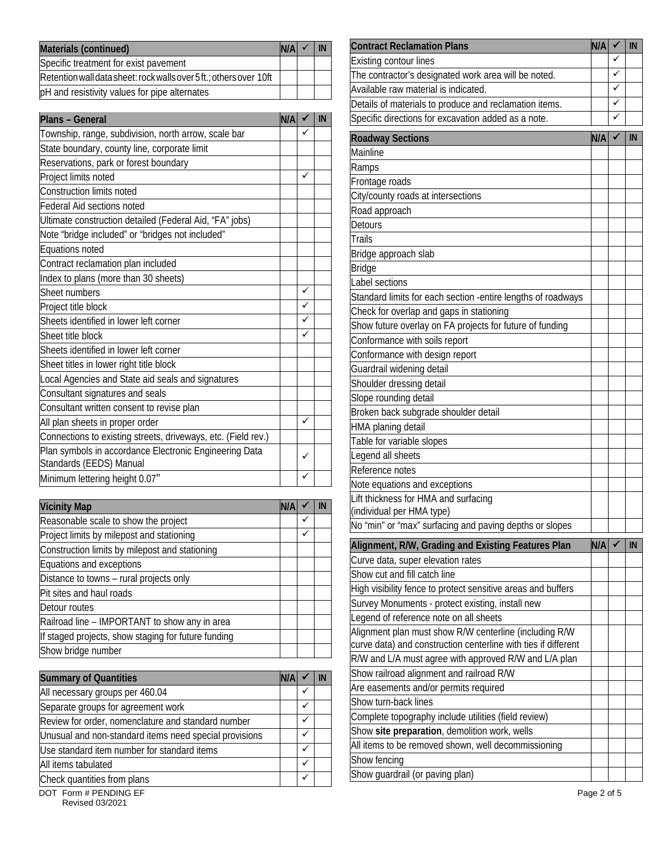| Materials (continued)                                               | N/A | IN | <b>Contract Reclamation Plans</b>                    | <b>N/A</b> |  |
|---------------------------------------------------------------------|-----|----|------------------------------------------------------|------------|--|
| Specific treatment for exist pavement                               |     |    | <b>Existing contour lines</b>                        |            |  |
| Retention wall data sheet: rock walls over 5 ft.; others over 10 ft |     |    | The contractor's designated work area will be noted. |            |  |
| pH and resistivity values for pipe alternates                       |     |    | Available raw material is indicated.                 |            |  |
|                                                                     |     |    | $\cdot$ .                                            |            |  |

| <b>Plans - General</b>                                        | N/A |              | IN | Specific directions for excavation added as a note.           |     | $\checkmark$ |
|---------------------------------------------------------------|-----|--------------|----|---------------------------------------------------------------|-----|--------------|
| Township, range, subdivision, north arrow, scale bar          |     | ✓            |    | <b>Roadway Sections</b>                                       | N/A |              |
| State boundary, county line, corporate limit                  |     |              |    | Mainline                                                      |     |              |
| Reservations, park or forest boundary                         |     |              |    | Ramps                                                         |     |              |
| Project limits noted                                          |     | ✓            |    | Frontage roads                                                |     |              |
| Construction limits noted                                     |     |              |    | City/county roads at intersections                            |     |              |
| Federal Aid sections noted                                    |     |              |    | Road approach                                                 |     |              |
| Ultimate construction detailed (Federal Aid, "FA" jobs)       |     |              |    | <b>Detours</b>                                                |     |              |
| Note "bridge included" or "bridges not included"              |     |              |    | <b>Trails</b>                                                 |     |              |
| Equations noted                                               |     |              |    | Bridge approach slab                                          |     |              |
| Contract reclamation plan included                            |     |              |    | <b>Bridge</b>                                                 |     |              |
| Index to plans (more than 30 sheets)                          |     |              |    | Label sections                                                |     |              |
| Sheet numbers                                                 |     | $\checkmark$ |    | Standard limits for each section - entire lengths of roadways |     |              |
| Project title block                                           |     | ✓            |    | Check for overlap and gaps in stationing                      |     |              |
| Sheets identified in lower left corner                        |     | ✓            |    | Show future overlay on FA projects for future of funding      |     |              |
| Sheet title block                                             |     | ✓            |    | Conformance with soils report                                 |     |              |
| Sheets identified in lower left corner                        |     |              |    | Conformance with design report                                |     |              |
| Sheet titles in lower right title block                       |     |              |    | Guardrail widening detail                                     |     |              |
| Local Agencies and State aid seals and signatures             |     |              |    | Shoulder dressing detail                                      |     |              |
| Consultant signatures and seals                               |     |              |    | Slope rounding detail                                         |     |              |
| Consultant written consent to revise plan                     |     |              |    | Broken back subgrade shoulder detail                          |     |              |
| All plan sheets in proper order                               |     | $\checkmark$ |    | HMA planing detail                                            |     |              |
| Connections to existing streets, driveways, etc. (Field rev.) |     |              |    | Table for variable slopes                                     |     |              |
| Plan symbols in accordance Electronic Engineering Data        |     | ✓            |    | Legend all sheets                                             |     |              |
| Standards (EEDS) Manual                                       |     |              |    | Reference notes                                               |     |              |
| Minimum lettering height 0.07"                                |     | ✓            |    | Note equations and exceptions                                 |     |              |

| <b>Vicinity Map</b>                                 | <b>N/A</b> |   | Lift thickness for HMA and surfacing<br>(individual per HMA type) |
|-----------------------------------------------------|------------|---|-------------------------------------------------------------------|
| Reasonable scale to show the project                |            | ✓ | No "min" or "max" surfacing and paving depths or slopes           |
| Project limits by milepost and stationing           |            | ✓ |                                                                   |
| Construction limits by milepost and stationing      |            |   | Alignment, R/W, Grading and Existing Features Plan                |
| Equations and exceptions                            |            |   | Curve data, super elevation rates                                 |
| Distance to towns - rural projects only             |            |   | Show cut and fill catch line                                      |
| Pit sites and haul roads                            |            |   | High visibility fence to protect sensitive areas and buffers      |
| Detour routes                                       |            |   | Survey Monuments - protect existing, install new                  |
| Railroad line - IMPORTANT to show any in area       |            |   | Legend of reference note on all sheets                            |
| If staged projects, show staging for future funding |            |   | Alignment plan must show R/W centerline (including R/W            |
| Show bridge number                                  |            |   | curve data) and construction centerline with ties if differer     |
|                                                     |            |   | $\Box$                                                            |

| <b>Summary of Quantities</b>                           | N/A |              | <b>IN</b> | Show railroad alignment and railroad R/W             |
|--------------------------------------------------------|-----|--------------|-----------|------------------------------------------------------|
| All necessary groups per 460.04                        |     |              |           | Are easements and/or permits required                |
| Separate groups for agreement work                     |     | $\checkmark$ |           | Show turn-back lines                                 |
| Review for order, nomenclature and standard number     |     |              |           | Complete topography include utilities (field review) |
| Unusual and non-standard items need special provisions |     |              |           | Show site preparation, demolition work, wells        |
| Use standard item number for standard items            |     |              |           | All items to be removed shown, well decommissioning  |
| All items tabulated                                    |     |              |           | Show fencing                                         |
| Check quantities from plans                            |     | $\checkmark$ |           |                                                      |
|                                                        |     |              |           | Show guardrail (or paving plan)                      |

| Materials (continued)                                                      | N/A | ✓            | IN        | <b>Contract Reclamation Plans</b>                              | N/A | √ | ${\sf IN}$ |
|----------------------------------------------------------------------------|-----|--------------|-----------|----------------------------------------------------------------|-----|---|------------|
| Specific treatment for exist pavement                                      |     |              |           | <b>Existing contour lines</b>                                  |     |   |            |
| Retention wall data sheet: rock walls over 5ft.; others over 10ft          |     |              |           | The contractor's designated work area will be noted.           |     | ✓ |            |
| pH and resistivity values for pipe alternates                              |     |              |           | Available raw material is indicated.                           |     |   |            |
|                                                                            |     |              |           | Details of materials to produce and reclamation items.         |     | ✓ |            |
| Plans - General                                                            | N/A |              | IN        | Specific directions for excavation added as a note.            |     | ✓ |            |
| Township, range, subdivision, north arrow, scale bar                       |     | ✓            |           | <b>Roadway Sections</b>                                        | N/A |   | IN         |
| State boundary, county line, corporate limit                               |     |              |           | Mainline                                                       |     |   |            |
| Reservations, park or forest boundary                                      |     |              |           | Ramps                                                          |     |   |            |
| Project limits noted                                                       |     | ✓            |           | Frontage roads                                                 |     |   |            |
| Construction limits noted                                                  |     |              |           | City/county roads at intersections                             |     |   |            |
| Federal Aid sections noted                                                 |     |              |           | Road approach                                                  |     |   |            |
| Ultimate construction detailed (Federal Aid, "FA" jobs)                    |     |              |           | <b>Detours</b>                                                 |     |   |            |
| Note "bridge included" or "bridges not included"                           |     |              |           | <b>Trails</b>                                                  |     |   |            |
| Equations noted                                                            |     |              |           | Bridge approach slab                                           |     |   |            |
| Contract reclamation plan included                                         |     |              |           | <b>Bridge</b>                                                  |     |   |            |
| Index to plans (more than 30 sheets)                                       |     |              |           | Label sections                                                 |     |   |            |
| Sheet numbers                                                              |     | ✓            |           | Standard limits for each section -entire lengths of roadways   |     |   |            |
| Project title block                                                        |     | ✓            |           | Check for overlap and gaps in stationing                       |     |   |            |
| Sheets identified in lower left corner                                     |     | ✓            |           | Show future overlay on FA projects for future of funding       |     |   |            |
| Sheet title block                                                          |     | ✓            |           | Conformance with soils report                                  |     |   |            |
| Sheets identified in lower left corner                                     |     |              |           | Conformance with design report                                 |     |   |            |
| Sheet titles in lower right title block                                    |     |              |           | Guardrail widening detail                                      |     |   |            |
| Local Agencies and State aid seals and signatures                          |     |              |           | Shoulder dressing detail                                       |     |   |            |
| Consultant signatures and seals                                            |     |              |           | Slope rounding detail                                          |     |   |            |
| Consultant written consent to revise plan                                  |     |              |           | Broken back subgrade shoulder detail                           |     |   |            |
| All plan sheets in proper order                                            |     | $\checkmark$ |           | HMA planing detail                                             |     |   |            |
| Connections to existing streets, driveways, etc. (Field rev.)              |     |              |           | Table for variable slopes                                      |     |   |            |
| Plan symbols in accordance Electronic Engineering Data                     |     | ✓            |           | Legend all sheets                                              |     |   |            |
| Standards (EEDS) Manual                                                    |     |              |           | Reference notes                                                |     |   |            |
| Minimum lettering height 0.07"                                             |     | ✓            |           | Note equations and exceptions                                  |     |   |            |
|                                                                            |     |              |           | Lift thickness for HMA and surfacing                           |     |   |            |
| <b>Vicinity Map</b>                                                        | N/A | $\checkmark$ | IN.       | (individual per HMA type)                                      |     |   |            |
| Reasonable scale to show the project                                       |     | $\checkmark$ |           | No "min" or "max" surfacing and paving depths or slopes        |     |   |            |
| Project limits by milepost and stationing                                  |     |              |           | Alignment, R/W, Grading and Existing Features Plan             | N/A |   | ${\sf IN}$ |
| Construction limits by milepost and stationing<br>Equations and exceptions |     |              |           | Curve data, super elevation rates                              |     |   |            |
| Distance to towns - rural projects only                                    |     |              |           | Show cut and fill catch line                                   |     |   |            |
| Pit sites and haul roads                                                   |     |              |           | High visibility fence to protect sensitive areas and buffers   |     |   |            |
| Detour routes                                                              |     |              |           | Survey Monuments - protect existing, install new               |     |   |            |
| Railroad line - IMPORTANT to show any in area                              |     |              |           | Legend of reference note on all sheets                         |     |   |            |
| If staged projects, show staging for future funding                        |     |              |           | Alignment plan must show R/W centerline (including R/W         |     |   |            |
| Show bridge number                                                         |     |              |           | curve data) and construction centerline with ties if different |     |   |            |
|                                                                            |     |              |           | R/W and L/A must agree with approved R/W and L/A plan          |     |   |            |
| <b>Summary of Quantities</b>                                               | N/A |              | <b>IN</b> | Show railroad alignment and railroad R/W                       |     |   |            |
| All necessary groups per 460.04                                            |     | ✓            |           | Are easements and/or permits required                          |     |   |            |
| Separate groups for agreement work                                         |     | ✓            |           | Show turn-back lines                                           |     |   |            |
| Review for order, nomenclature and standard number                         |     | ✓            |           | Complete topography include utilities (field review)           |     |   |            |
| Unusual and non-standard items need special provisions                     |     | ✓            |           | Show site preparation, demolition work, wells                  |     |   |            |
| Use standard item number for standard items                                |     | ✓            |           | All items to be removed shown, well decommissioning            |     |   |            |
| All items tabulated                                                        |     | ✓            |           | Show fencing                                                   |     |   |            |
| $O$ ka ali anaw 1915                                                       |     |              |           | Show quardrail (or paving plan)                                |     |   |            |

DOT Form # PENDING EF Page 2 of 5 Revised 03/2021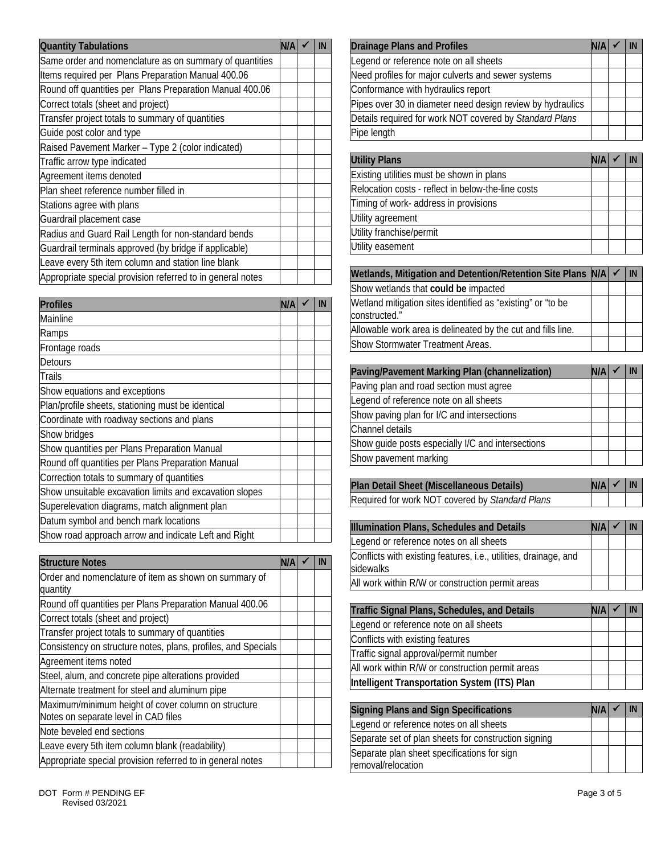| <b>Quantity Tabulations</b>                                |  | -IN | <b>Drainage Plans and Profiles</b>                          | N/A  | IN |
|------------------------------------------------------------|--|-----|-------------------------------------------------------------|------|----|
| Same order and nomenclature as on summary of quantities    |  |     | Legend or reference note on all sheets                      |      |    |
| Items required per Plans Preparation Manual 400.06         |  |     | Need profiles for major culverts and sewer systems          |      |    |
| Round off quantities per Plans Preparation Manual 400.06   |  |     | Conformance with hydraulics report                          |      |    |
| Correct totals (sheet and project)                         |  |     | Pipes over 30 in diameter need design review by hydraulics  |      |    |
| Transfer project totals to summary of quantities           |  |     | Details required for work NOT covered by Standard Plans     |      |    |
| Guide post color and type                                  |  |     | Pipe length                                                 |      |    |
| Raised Pavement Marker - Type 2 (color indicated)          |  |     |                                                             |      |    |
| Traffic arrow type indicated                               |  |     | <b>Utility Plans</b>                                        | in/a | IN |
| Agreement items denoted                                    |  |     | Existing utilities must be shown in plans                   |      |    |
| Plan sheet reference number filled in                      |  |     | Relocation costs - reflect in below-the-line costs          |      |    |
| Stations agree with plans                                  |  |     | Timing of work- address in provisions                       |      |    |
| Guardrail placement case                                   |  |     | Utility agreement                                           |      |    |
| Radius and Guard Rail Length for non-standard bends        |  |     | Utility franchise/permit                                    |      |    |
| Guardrail terminals approved (by bridge if applicable)     |  |     | Utility easement                                            |      |    |
| Leave every 5th item column and station line blank         |  |     |                                                             |      |    |
| Appropriate special provision referred to in general notes |  |     | Wetlands, Mitigation and Detention/Retention Site Plans N/A |      | IN |

| <b>Profiles</b>                                         | N/A |  | Wetland mitigation sites identified as "existing" or "to be  |            |    |
|---------------------------------------------------------|-----|--|--------------------------------------------------------------|------------|----|
| Mainline                                                |     |  | constructed."                                                |            |    |
| Ramps                                                   |     |  | Allowable work area is delineated by the cut and fills line. |            |    |
| Frontage roads                                          |     |  | Show Stormwater Treatment Areas.                             |            |    |
| Detours                                                 |     |  |                                                              |            |    |
| Trails                                                  |     |  | Paving/Pavement Marking Plan (channelization)                | N/A        | IN |
| Show equations and exceptions                           |     |  | Paving plan and road section must agree                      |            |    |
| Plan/profile sheets, stationing must be identical       |     |  | Legend of reference note on all sheets                       |            |    |
| Coordinate with roadway sections and plans              |     |  | Show paving plan for I/C and intersections                   |            |    |
| Show bridges                                            |     |  | Channel details                                              |            |    |
| Show quantities per Plans Preparation Manual            |     |  | Show guide posts especially I/C and intersections            |            |    |
| Round off quantities per Plans Preparation Manual       |     |  | Show pavement marking                                        |            |    |
| Correction totals to summary of quantities              |     |  |                                                              |            |    |
| Show unsuitable excavation limits and excavation slopes |     |  | Plan Detail Sheet (Miscellaneous Details)                    | N/A        | IN |
| Superelevation diagrams, match alignment plan           |     |  | Required for work NOT covered by Standard Plans              |            |    |
| Datum symbol and bench mark locations                   |     |  | Illumination Plans, Schedules and Details                    | <b>N/A</b> | IN |
| Show road approach arrow and indicate Left and Right    |     |  | Legend or reference notes on all sheets                      |            |    |

| <b>Structure Notes</b>                                                                      | IN/AI |  | Conflicts with existing features, i.e., utilities, drainage, and<br>sidewalks |             |    |
|---------------------------------------------------------------------------------------------|-------|--|-------------------------------------------------------------------------------|-------------|----|
| Order and nomenclature of item as shown on summary of<br>quantity                           |       |  | All work within R/W or construction permit areas                              |             |    |
| Round off quantities per Plans Preparation Manual 400.06                                    |       |  | Traffic Signal Plans, Schedules, and Details                                  | in/a        | IN |
| Correct totals (sheet and project)                                                          |       |  | Legend or reference note on all sheets                                        |             |    |
| Transfer project totals to summary of quantities                                            |       |  |                                                                               |             |    |
| Consistency on structure notes, plans, profiles, and Specials                               |       |  | Conflicts with existing features                                              |             |    |
| Agreement items noted                                                                       |       |  | Traffic signal approval/permit number                                         |             |    |
| Steel, alum, and concrete pipe alterations provided                                         |       |  | All work within R/W or construction permit areas                              |             |    |
| Alternate treatment for steel and aluminum pipe                                             |       |  | Intelligent Transportation System (ITS) Plan                                  |             |    |
| Maximum/minimum height of cover column on structure<br>Notes on separate level in CAD files |       |  | <b>Signing Plans and Sign Specifications</b>                                  | <b>IN/A</b> | IN |
| Note beveled end sections                                                                   |       |  | Legend or reference notes on all sheets                                       |             |    |
| Leave every 5th item column blank (readability)                                             |       |  | Separate set of plan sheets for construction signing                          |             |    |
| Appropriate special provision referred to in general notes                                  |       |  | Separate plan sheet specifications for sign<br>removal/relocation             |             |    |

| <b>Drainage Plans and Profiles</b>                         |  |  |
|------------------------------------------------------------|--|--|
| Legend or reference note on all sheets                     |  |  |
| Need profiles for major culverts and sewer systems         |  |  |
| Conformance with hydraulics report                         |  |  |
| Pipes over 30 in diameter need design review by hydraulics |  |  |
| Details required for work NOT covered by Standard Plans    |  |  |
| Pipe length                                                |  |  |

| <b>Utility Plans</b>                               |  |  |
|----------------------------------------------------|--|--|
| Existing utilities must be shown in plans          |  |  |
| Relocation costs - reflect in below-the-line costs |  |  |
| Timing of work- address in provisions              |  |  |
| Utility agreement                                  |  |  |
| Utility franchise/permit                           |  |  |
| Utility easement                                   |  |  |

| Wetlands, Mitigation and Detention/Retention Site Plans N/A   √              |  | IN |
|------------------------------------------------------------------------------|--|----|
| Show wetlands that could be impacted                                         |  |    |
| Wetland mitigation sites identified as "existing" or "to be<br>constructed." |  |    |
| Allowable work area is delineated by the cut and fills line.                 |  |    |
| <b>IShow Stormwater Treatment Areas.</b>                                     |  |    |

| DUUUIJ                                            |                                                   |     |    |
|---------------------------------------------------|---------------------------------------------------|-----|----|
| Trails                                            | Paving/Pavement Marking Plan (channelization)     | N/A | IN |
| Show equations and exceptions                     | Paving plan and road section must agree           |     |    |
| Plan/profile sheets, stationing must be identical | Legend of reference note on all sheets            |     |    |
| Coordinate with roadway sections and plans        | Show paving plan for I/C and intersections        |     |    |
| Show bridges                                      | Channel details                                   |     |    |
| Show quantities per Plans Preparation Manual      | Show guide posts especially I/C and intersections |     |    |
| Round off quantities per Plans Preparation Manual | Show pavement marking                             |     |    |
|                                                   |                                                   |     |    |

| <b>Illumination Plans, Schedules and Details</b>                              |  |  |
|-------------------------------------------------------------------------------|--|--|
| Legend or reference notes on all sheets                                       |  |  |
| Conflicts with existing features, i.e., utilities, drainage, and<br>sidewalks |  |  |
| All work within R/W or construction permit areas                              |  |  |

| Traffic Signal Plans, Schedules, and Details     |  |  |  |  |  |  |
|--------------------------------------------------|--|--|--|--|--|--|
| Legend or reference note on all sheets           |  |  |  |  |  |  |
| Conflicts with existing features                 |  |  |  |  |  |  |
| Traffic signal approval/permit number            |  |  |  |  |  |  |
| All work within R/W or construction permit areas |  |  |  |  |  |  |
| Intelligent Transportation System (ITS) Plan     |  |  |  |  |  |  |

| <b>Signing Plans and Sign Specifications</b>         |  |  |
|------------------------------------------------------|--|--|
| Legend or reference notes on all sheets              |  |  |
| Separate set of plan sheets for construction signing |  |  |
| Separate plan sheet specifications for sign          |  |  |
| removal/relocation                                   |  |  |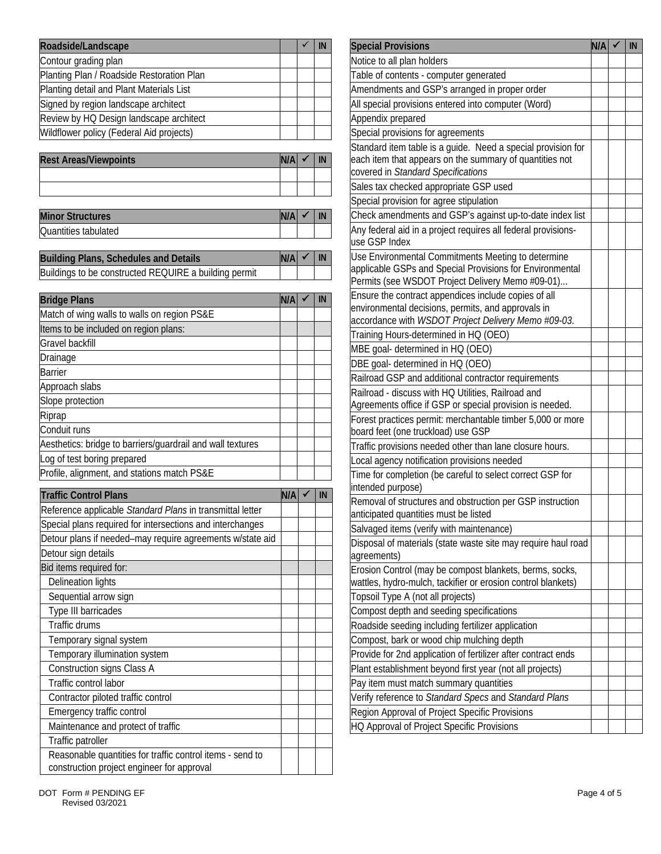| Roadside/Landscape                        |  | <b>IN</b> | <b>Special Provisions</b>                           |
|-------------------------------------------|--|-----------|-----------------------------------------------------|
| Contour grading plan                      |  |           | Notice to all plan holders                          |
| Planting Plan / Roadside Restoration Plan |  |           | Table of contents - computer generated              |
| Planting detail and Plant Materials List  |  |           | Amendments and GSP's arranged in proper order       |
| Signed by region landscape architect      |  |           | All special provisions entered into computer (Word) |
| Review by HQ Design landscape architect   |  |           | Appendix prepared                                   |
| Wildflower policy (Federal Aid projects)  |  |           | Special provisions for agreements                   |

| <b>Rest Areas/Viewpoints</b> | N/A | IN | leach item that appears on the summary of quantities not |
|------------------------------|-----|----|----------------------------------------------------------|
|                              |     |    | covered in Standard Specifications                       |
|                              |     |    | Sales tax checked appropriate GSP used                   |

| <b>Minor</b><br><b>Structures</b> | N/A |  | Check<br>amendments and GSP's against up-to-date index list      |
|-----------------------------------|-----|--|------------------------------------------------------------------|
| Quantities<br>; tabulated         |     |  | aid in a project requires all federal provisions-<br>Anv federal |

| <b>Building Plans, Schedules and Details</b>          | N/A |  | Use Environmental Commitments Meeting to determine                                                         |
|-------------------------------------------------------|-----|--|------------------------------------------------------------------------------------------------------------|
| Buildings to be constructed REQUIRE a building permit |     |  | lapplicable GSPs and Special Provisions for Environmen<br>Dermits (see WCDOT Droiget Delivery Mama #00.01) |

| <b>Bridge Plans</b>                                        | N/A | IN | Ensure the contract appendices include copies of all                                                      |
|------------------------------------------------------------|-----|----|-----------------------------------------------------------------------------------------------------------|
| Match of wing walls to walls on region PS&E                |     |    | environmental decisions, permits, and approvals in<br>accordance with WSDOT Project Delivery Memo #09-03. |
| Items to be included on region plans:                      |     |    | Training Hours-determined in HQ (OEO)                                                                     |
| Gravel backfill                                            |     |    | MBE goal- determined in HQ (OEO)                                                                          |
| Drainage                                                   |     |    | DBE goal- determined in HQ (OEO)                                                                          |
| <b>Barrier</b>                                             |     |    | Railroad GSP and additional contractor requirements                                                       |
| Approach slabs                                             |     |    | Railroad - discuss with HQ Utilities, Railroad and                                                        |
| Slope protection                                           |     |    | Agreements office if GSP or special provision is needed.                                                  |
| Riprap                                                     |     |    | Forest practices permit: merchantable timber 5,000 or more                                                |
| Conduit runs                                               |     |    | board feet (one truckload) use GSP                                                                        |
| Aesthetics: bridge to barriers/guardrail and wall textures |     |    | Traffic provisions needed other than lane closure hours.                                                  |
| Log of test boring prepared                                |     |    | Local agency notification provisions needed                                                               |
| Profile, alignment, and stations match PS&E                |     |    | Time for completion (be careful to select correct GSP for                                                 |

|                                                           |     |    | intended purpose)                                             |
|-----------------------------------------------------------|-----|----|---------------------------------------------------------------|
| <b>Traffic Control Plans</b>                              | N/A | IN | Removal of structures and obstruction per GSP instruction     |
| Reference applicable Standard Plans in transmittal letter |     |    | anticipated quantities must be listed                         |
| Special plans required for intersections and interchanges |     |    | Salvaged items (verify with maintenance)                      |
| Detour plans if needed-may require agreements w/state aid |     |    | Disposal of materials (state waste site may require haul road |
| Detour sign details                                       |     |    | agreements)                                                   |
| Bid items required for:                                   |     |    | Erosion Control (may be compost blankets, berms, socks,       |
| Delineation lights                                        |     |    | wattles, hydro-mulch, tackifier or erosion control blankets)  |
| Sequential arrow sign                                     |     |    | Topsoil Type A (not all projects)                             |
| Type III barricades                                       |     |    | Compost depth and seeding specifications                      |
| Traffic drums                                             |     |    | Roadside seeding including fertilizer application             |
| Temporary signal system                                   |     |    | Compost, bark or wood chip mulching depth                     |
| Temporary illumination system                             |     |    | Provide for 2nd application of fertilizer after contract ends |
| Construction signs Class A                                |     |    | Plant establishment beyond first year (not all projects)      |
| Traffic control labor                                     |     |    | Pay item must match summary quantities                        |
| Contractor piloted traffic control                        |     |    | Verify reference to Standard Specs and Standard Plans         |
| Emergency traffic control                                 |     |    | Region Approval of Project Specific Provisions                |
| Maintenance and protect of traffic                        |     |    | HQ Approval of Project Specific Provisions                    |
| Traffic patroller                                         |     |    |                                                               |
| Reasonable quantities for traffic control items - send to |     |    |                                                               |
| construction project engineer for approval                |     |    |                                                               |

| Roadside/Landscape                                         |     | ✓ | IN            | <b>Special Provisions</b>                                                                                | N/A | IN |
|------------------------------------------------------------|-----|---|---------------|----------------------------------------------------------------------------------------------------------|-----|----|
| Contour grading plan                                       |     |   |               | Notice to all plan holders                                                                               |     |    |
| Planting Plan / Roadside Restoration Plan                  |     |   |               | Table of contents - computer generated                                                                   |     |    |
| Planting detail and Plant Materials List                   |     |   |               | Amendments and GSP's arranged in proper order                                                            |     |    |
| Signed by region landscape architect                       |     |   |               | All special provisions entered into computer (Word)                                                      |     |    |
| Review by HQ Design landscape architect                    |     |   |               | Appendix prepared                                                                                        |     |    |
| Wildflower policy (Federal Aid projects)                   |     |   |               | Special provisions for agreements                                                                        |     |    |
|                                                            |     |   |               | Standard item table is a guide. Need a special provision for                                             |     |    |
| <b>Rest Areas/Viewpoints</b>                               | N/A |   | $\mathsf{IN}$ | each item that appears on the summary of quantities not<br>covered in Standard Specifications            |     |    |
|                                                            |     |   |               | Sales tax checked appropriate GSP used                                                                   |     |    |
|                                                            |     |   |               | Special provision for agree stipulation                                                                  |     |    |
| <b>Minor Structures</b>                                    | N/A |   | IN            | Check amendments and GSP's against up-to-date index list                                                 |     |    |
| Quantities tabulated                                       |     |   |               | Any federal aid in a project requires all federal provisions-                                            |     |    |
|                                                            |     |   |               | use GSP Index                                                                                            |     |    |
| <b>Building Plans, Schedules and Details</b>               | N/A |   | IN            | Use Environmental Commitments Meeting to determine                                                       |     |    |
| Buildings to be constructed REQUIRE a building permit      |     |   |               | applicable GSPs and Special Provisions for Environmental                                                 |     |    |
|                                                            |     |   |               | Permits (see WSDOT Project Delivery Memo #09-01)<br>Ensure the contract appendices include copies of all |     |    |
| <b>Bridge Plans</b>                                        | N/A |   | IN            | environmental decisions, permits, and approvals in                                                       |     |    |
| Match of wing walls to walls on region PS&E                |     |   |               | accordance with WSDOT Project Delivery Memo #09-03.                                                      |     |    |
| Items to be included on region plans:                      |     |   |               | Training Hours-determined in HQ (OEO)                                                                    |     |    |
| Gravel backfill                                            |     |   |               | MBE goal- determined in HQ (OEO)                                                                         |     |    |
| Drainage                                                   |     |   |               | DBE goal- determined in HQ (OEO)                                                                         |     |    |
| <b>Barrier</b>                                             |     |   |               | Railroad GSP and additional contractor requirements                                                      |     |    |
| Approach slabs                                             |     |   |               | Railroad - discuss with HQ Utilities, Railroad and                                                       |     |    |
| Slope protection                                           |     |   |               | Agreements office if GSP or special provision is needed.                                                 |     |    |
| Riprap                                                     |     |   |               | Forest practices permit: merchantable timber 5,000 or more                                               |     |    |
| Conduit runs                                               |     |   |               | board feet (one truckload) use GSP                                                                       |     |    |
| Aesthetics: bridge to barriers/guardrail and wall textures |     |   |               | Traffic provisions needed other than lane closure hours.                                                 |     |    |
| Log of test boring prepared                                |     |   |               | ocal agency notification provisions needed                                                               |     |    |
| Profile, alignment, and stations match PS&E                |     |   |               | Time for completion (be careful to select correct GSP for                                                |     |    |
| <b>Traffic Control Plans</b>                               | N/A | ✔ | IN            | intended purpose)                                                                                        |     |    |
| Reference applicable Standard Plans in transmittal letter  |     |   |               | Removal of structures and obstruction per GSP instruction                                                |     |    |
| Special plans required for intersections and interchanges  |     |   |               | anticipated quantities must be listed                                                                    |     |    |
| Detour plans if needed-may require agreements w/state aid  |     |   |               | Salvaged items (verify with maintenance)                                                                 |     |    |
| Detour sign details                                        |     |   |               | Disposal of materials (state waste site may require haul road<br>agreements)                             |     |    |
| Bid items required for:                                    |     |   |               | Erosion Control (may be compost blankets, berms, socks,                                                  |     |    |
| <b>Delineation lights</b>                                  |     |   |               | wattles, hydro-mulch, tackifier or erosion control blankets)                                             |     |    |
| Sequential arrow sign                                      |     |   |               | Topsoil Type A (not all projects)                                                                        |     |    |
| Type III barricades                                        |     |   |               | Compost depth and seeding specifications                                                                 |     |    |
| Traffic drums                                              |     |   |               | Roadside seeding including fertilizer application                                                        |     |    |
| Temporary signal system                                    |     |   |               | Compost, bark or wood chip mulching depth                                                                |     |    |
| Temporary illumination system                              |     |   |               | Provide for 2nd application of fertilizer after contract ends                                            |     |    |
| Construction signs Class A                                 |     |   |               | Plant establishment beyond first year (not all projects)                                                 |     |    |
| Traffic control labor                                      |     |   |               | Pay item must match summary quantities                                                                   |     |    |
| Contractor piloted traffic control                         |     |   |               | Verify reference to Standard Specs and Standard Plans                                                    |     |    |
| Emergency traffic control                                  |     |   |               | Region Approval of Project Specific Provisions                                                           |     |    |
| Maintenance and protect of traffic                         |     |   |               | HQ Approval of Project Specific Provisions                                                               |     |    |
| Troffic potrolle                                           |     |   |               |                                                                                                          |     |    |